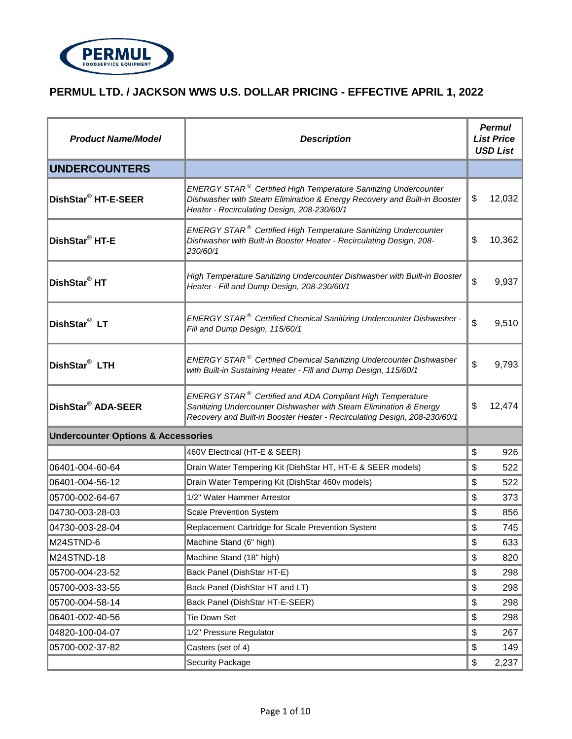

| <b>Product Name/Model</b>                     | <b>Description</b>                                                                                                                                                                                                       | <b>Permul</b><br><b>List Price</b><br><b>USD List</b> |        |
|-----------------------------------------------|--------------------------------------------------------------------------------------------------------------------------------------------------------------------------------------------------------------------------|-------------------------------------------------------|--------|
| <b>UNDERCOUNTERS</b>                          |                                                                                                                                                                                                                          |                                                       |        |
| DishStar® HT-E-SEER                           | <b>ENERGY STAR<sup>®</sup> Certified High Temperature Sanitizing Undercounter</b><br>Dishwasher with Steam Elimination & Energy Recovery and Built-in Booster<br>Heater - Recirculating Design, 208-230/60/1             | S                                                     | 12,032 |
| DishStar <sup>®</sup> HT-E                    | <b>ENERGY STAR<sup>®</sup> Certified High Temperature Sanitizing Undercounter</b><br>Dishwasher with Built-in Booster Heater - Recirculating Design, 208-<br>230/60/1                                                    | \$                                                    | 10,362 |
| DishStar <sup>®</sup> HT                      | High Temperature Sanitizing Undercounter Dishwasher with Built-in Booster<br>Heater - Fill and Dump Design, 208-230/60/1                                                                                                 | \$                                                    | 9,937  |
| DishStar <sup>®</sup> LT                      | ENERGY STAR <sup>®</sup> Certified Chemical Sanitizing Undercounter Dishwasher -<br>Fill and Dump Design, 115/60/1                                                                                                       | \$                                                    | 9,510  |
| DishStar <sup>®</sup> LTH                     | ENERGY STAR <sup>®</sup> Certified Chemical Sanitizing Undercounter Dishwasher<br>with Built-in Sustaining Heater - Fill and Dump Design, 115/60/1                                                                       | \$                                                    | 9,793  |
| DishStar <sup>®</sup> ADA-SEER                | ENERGY STAR <sup>®</sup> Certified and ADA Compliant High Temperature<br>Sanitizing Undercounter Dishwasher with Steam Elimination & Energy<br>Recovery and Built-in Booster Heater - Recirculating Design, 208-230/60/1 | \$                                                    | 12,474 |
| <b>Undercounter Options &amp; Accessories</b> |                                                                                                                                                                                                                          |                                                       |        |
|                                               | 460V Electrical (HT-E & SEER)                                                                                                                                                                                            | \$                                                    | 926    |
| 06401-004-60-64                               | Drain Water Tempering Kit (DishStar HT, HT-E & SEER models)                                                                                                                                                              | \$                                                    | 522    |
| 06401-004-56-12                               | Drain Water Tempering Kit (DishStar 460v models)                                                                                                                                                                         | \$                                                    | 522    |
| 05700-002-64-67                               | 1/2" Water Hammer Arrestor                                                                                                                                                                                               | \$                                                    | 373    |
| 04730-003-28-03                               | <b>Scale Prevention System</b>                                                                                                                                                                                           | \$                                                    | 856    |
| 04730-003-28-04                               | Replacement Cartridge for Scale Prevention System                                                                                                                                                                        | \$                                                    | 745    |
| M24STND-6                                     | Machine Stand (6" high)                                                                                                                                                                                                  | \$                                                    | 633    |
| M24STND-18                                    | Machine Stand (18" high)                                                                                                                                                                                                 | \$                                                    | 820    |
| 05700-004-23-52                               | Back Panel (DishStar HT-E)                                                                                                                                                                                               | \$                                                    | 298    |
| 05700-003-33-55                               | Back Panel (DishStar HT and LT)                                                                                                                                                                                          | \$                                                    | 298    |
| 05700-004-58-14                               | Back Panel (DishStar HT-E-SEER)                                                                                                                                                                                          | \$                                                    | 298    |
| 06401-002-40-56                               | Tie Down Set                                                                                                                                                                                                             | \$                                                    | 298    |
| 04820-100-04-07                               | 1/2" Pressure Regulator                                                                                                                                                                                                  | \$                                                    | 267    |
| 05700-002-37-82                               | Casters (set of 4)                                                                                                                                                                                                       | \$                                                    | 149    |
|                                               | <b>Security Package</b>                                                                                                                                                                                                  | \$                                                    | 2,237  |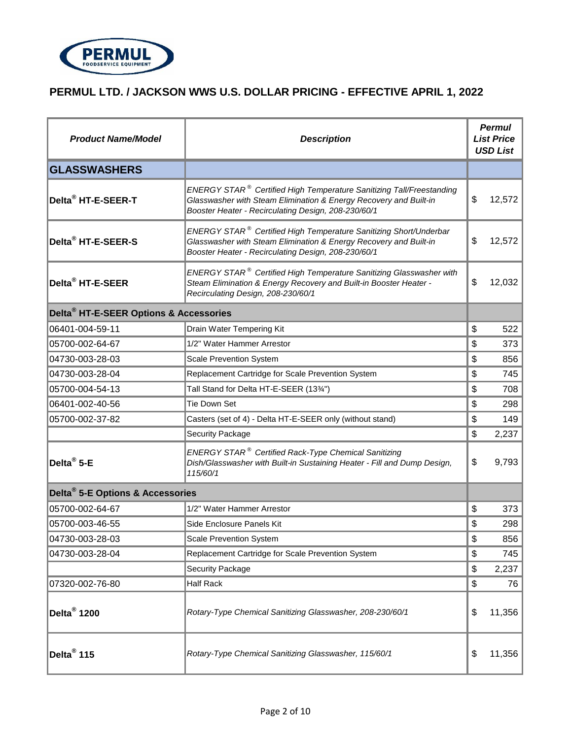

| <b>Product Name/Model</b>                          | <b>Description</b>                                                                                                                                                                                              | <b>Permul</b><br><b>List Price</b><br><b>USD List</b> |        |
|----------------------------------------------------|-----------------------------------------------------------------------------------------------------------------------------------------------------------------------------------------------------------------|-------------------------------------------------------|--------|
| <b>GLASSWASHERS</b>                                |                                                                                                                                                                                                                 |                                                       |        |
| Delta <sup>®</sup> HT-E-SEER-T                     | ENERGY STAR <sup>®</sup> Certified High Temperature Sanitizing Tall/Freestanding<br>Glasswasher with Steam Elimination & Energy Recovery and Built-in<br>Booster Heater - Recirculating Design, 208-230/60/1    | \$                                                    | 12,572 |
| Delta <sup>®</sup> HT-E-SEER-S                     | $ENERGY$ STAR $^{\circledast}$ Certified High Temperature Sanitizing Short/Underbar<br>Glasswasher with Steam Elimination & Energy Recovery and Built-in<br>Booster Heater - Recirculating Design, 208-230/60/1 | \$                                                    | 12,572 |
| Delta <sup>®</sup> HT-E-SEER                       | ENERGY STAR <sup>®</sup> Certified High Temperature Sanitizing Glasswasher with<br>Steam Elimination & Energy Recovery and Built-in Booster Heater -<br>Recirculating Design, 208-230/60/1                      | \$                                                    | 12,032 |
| Delta <sup>®</sup> HT-E-SEER Options & Accessories |                                                                                                                                                                                                                 |                                                       |        |
| 06401-004-59-11                                    | Drain Water Tempering Kit                                                                                                                                                                                       | \$                                                    | 522    |
| 05700-002-64-67                                    | 1/2" Water Hammer Arrestor                                                                                                                                                                                      | \$                                                    | 373    |
| 04730-003-28-03                                    | <b>Scale Prevention System</b>                                                                                                                                                                                  | \$                                                    | 856    |
| 04730-003-28-04                                    | Replacement Cartridge for Scale Prevention System                                                                                                                                                               | \$                                                    | 745    |
| 05700-004-54-13                                    | Tall Stand for Delta HT-E-SEER (1334")                                                                                                                                                                          | \$                                                    | 708    |
| 06401-002-40-56                                    | Tie Down Set                                                                                                                                                                                                    | \$                                                    | 298    |
| 05700-002-37-82                                    | Casters (set of 4) - Delta HT-E-SEER only (without stand)                                                                                                                                                       | \$                                                    | 149    |
|                                                    | <b>Security Package</b>                                                                                                                                                                                         | \$                                                    | 2,237  |
| Delta <sup>®</sup> 5-E                             | ENERGY STAR <sup>®</sup> Certified Rack-Type Chemical Sanitizing<br>Dish/Glasswasher with Built-in Sustaining Heater - Fill and Dump Design,<br>115/60/1                                                        | \$                                                    | 9,793  |
| Delta <sup>®</sup> 5-E Options & Accessories       |                                                                                                                                                                                                                 |                                                       |        |
| 05700-002-64-67                                    | 1/2" Water Hammer Arrestor                                                                                                                                                                                      | \$                                                    | 373    |
| 05700-003-46-55                                    | Side Enclosure Panels Kit                                                                                                                                                                                       | \$                                                    | 298    |
| 04730-003-28-03                                    | <b>Scale Prevention System</b>                                                                                                                                                                                  | \$                                                    | 856    |
| 04730-003-28-04                                    | Replacement Cartridge for Scale Prevention System                                                                                                                                                               | \$                                                    | 745    |
|                                                    | <b>Security Package</b>                                                                                                                                                                                         | \$                                                    | 2,237  |
| 07320-002-76-80                                    | <b>Half Rack</b>                                                                                                                                                                                                | \$                                                    | 76     |
| Delta <sup>®</sup> 1200                            | Rotary-Type Chemical Sanitizing Glasswasher, 208-230/60/1                                                                                                                                                       | \$                                                    | 11,356 |
| Delta <sup>®</sup> 115                             | Rotary-Type Chemical Sanitizing Glasswasher, 115/60/1                                                                                                                                                           | \$                                                    | 11,356 |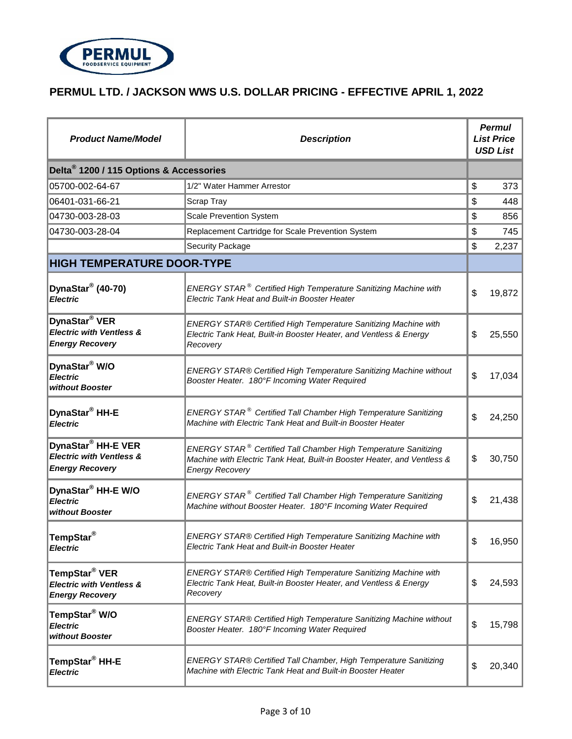

| <b>Product Name/Model</b>                                                                       | <b>Description</b>                                                                                                                                                    | <b>Permul</b><br><b>List Price</b><br><b>USD List</b> |        |
|-------------------------------------------------------------------------------------------------|-----------------------------------------------------------------------------------------------------------------------------------------------------------------------|-------------------------------------------------------|--------|
| Delta <sup>®</sup> 1200 / 115 Options & Accessories                                             |                                                                                                                                                                       |                                                       |        |
| 05700-002-64-67                                                                                 | 1/2" Water Hammer Arrestor                                                                                                                                            | \$                                                    | 373    |
| 06401-031-66-21                                                                                 | Scrap Tray                                                                                                                                                            | \$                                                    | 448    |
| 04730-003-28-03                                                                                 | <b>Scale Prevention System</b>                                                                                                                                        | \$                                                    | 856    |
| 04730-003-28-04                                                                                 | Replacement Cartridge for Scale Prevention System                                                                                                                     | \$                                                    | 745    |
|                                                                                                 | Security Package                                                                                                                                                      | \$                                                    | 2,237  |
| <b>HIGH TEMPERATURE DOOR-TYPE</b>                                                               |                                                                                                                                                                       |                                                       |        |
| DynaStar <sup>®</sup> (40-70)<br><b>Electric</b>                                                | ENERGY STAR <sup>®</sup> Certified High Temperature Sanitizing Machine with<br>Electric Tank Heat and Built-in Booster Heater                                         | \$                                                    | 19,872 |
| DynaStar <sup>®</sup> VER<br><b>Electric with Ventless &amp;</b><br><b>Energy Recovery</b>      | ENERGY STAR® Certified High Temperature Sanitizing Machine with<br>Electric Tank Heat, Built-in Booster Heater, and Ventless & Energy<br>Recovery                     | \$                                                    | 25,550 |
| DynaStar <sup>®</sup> W/O<br><b>Electric</b><br>without Booster                                 | ENERGY STAR® Certified High Temperature Sanitizing Machine without<br>Booster Heater. 180°F Incoming Water Required                                                   | \$                                                    | 17,034 |
| DynaStar <sup>®</sup> HH-E<br><b>Electric</b>                                                   | ENERGY STAR <sup>®</sup> Certified Tall Chamber High Temperature Sanitizing<br>Machine with Electric Tank Heat and Built-in Booster Heater                            | \$                                                    | 24,250 |
| DynaStar <sup>®</sup> HH-E VER<br><b>Electric with Ventless &amp;</b><br><b>Energy Recovery</b> | ENERGY STAR® Certified Tall Chamber High Temperature Sanitizing<br>Machine with Electric Tank Heat, Built-in Booster Heater, and Ventless &<br><b>Energy Recovery</b> | \$                                                    | 30,750 |
| DynaStar <sup>®</sup> HH-E W/O<br><b>Electric</b><br>without Booster                            | ENERGY STAR <sup>®</sup> Certified Tall Chamber High Temperature Sanitizing<br>Machine without Booster Heater. 180°F Incoming Water Required                          | \$                                                    | 21,438 |
| TempStar <sup>®</sup><br><b>Electric</b>                                                        | ENERGY STAR® Certified High Temperature Sanitizing Machine with<br>Electric Tank Heat and Built-in Booster Heater                                                     | \$                                                    | 16,950 |
| TempStar <sup>®</sup> VER<br><b>Electric with Ventless &amp;</b><br><b>Energy Recovery</b>      | ENERGY STAR® Certified High Temperature Sanitizing Machine with<br>Electric Tank Heat, Built-in Booster Heater, and Ventless & Energy<br>Recovery                     | \$                                                    | 24,593 |
| TempStar <sup>®</sup> W/O<br><b>Electric</b><br>without Booster                                 | ENERGY STAR® Certified High Temperature Sanitizing Machine without<br>Booster Heater. 180°F Incoming Water Required                                                   | \$                                                    | 15,798 |
| TempStar® HH-E<br><b>Electric</b>                                                               | ENERGY STAR® Certified Tall Chamber, High Temperature Sanitizing<br>Machine with Electric Tank Heat and Built-in Booster Heater                                       | \$                                                    | 20,340 |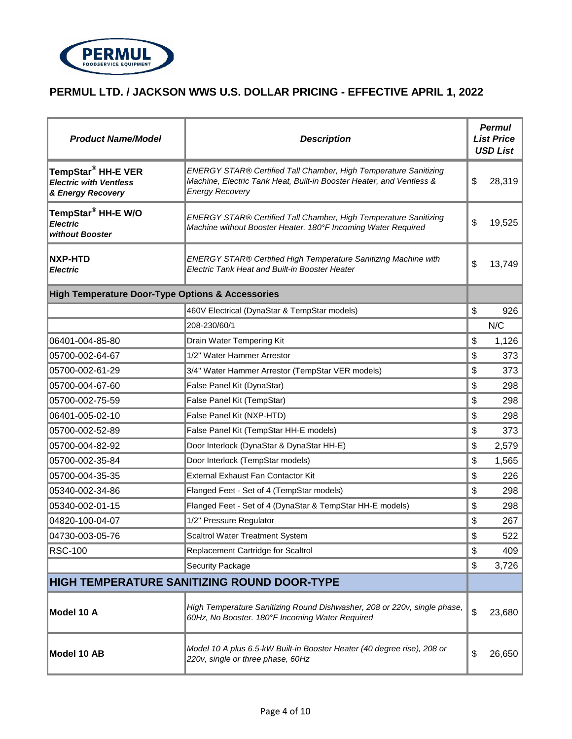

| <b>Product Name/Model</b>                                                            | <b>Description</b>                                                                                                                                                 | <b>Permul</b><br><b>List Price</b><br><b>USD List</b> |        |
|--------------------------------------------------------------------------------------|--------------------------------------------------------------------------------------------------------------------------------------------------------------------|-------------------------------------------------------|--------|
| TempStar <sup>®</sup> HH-E VER<br><b>Electric with Ventless</b><br>& Energy Recovery | ENERGY STAR® Certified Tall Chamber, High Temperature Sanitizing<br>Machine, Electric Tank Heat, Built-in Booster Heater, and Ventless &<br><b>Energy Recovery</b> | \$                                                    | 28,319 |
| TempStar <sup>®</sup> HH-E W/O<br><b>Electric</b><br>without Booster                 | ENERGY STAR® Certified Tall Chamber, High Temperature Sanitizing<br>Machine without Booster Heater. 180°F Incoming Water Required                                  | \$                                                    | 19,525 |
| <b>NXP-HTD</b><br><b>Electric</b>                                                    | ENERGY STAR® Certified High Temperature Sanitizing Machine with<br>Electric Tank Heat and Built-in Booster Heater                                                  | \$                                                    | 13,749 |
| <b>High Temperature Door-Type Options &amp; Accessories</b>                          |                                                                                                                                                                    |                                                       |        |
|                                                                                      | 460V Electrical (DynaStar & TempStar models)                                                                                                                       | \$                                                    | 926    |
|                                                                                      | 208-230/60/1                                                                                                                                                       |                                                       | N/C    |
| 06401-004-85-80                                                                      | Drain Water Tempering Kit                                                                                                                                          | \$                                                    | 1,126  |
| 05700-002-64-67                                                                      | 1/2" Water Hammer Arrestor                                                                                                                                         | \$                                                    | 373    |
| 05700-002-61-29                                                                      | 3/4" Water Hammer Arrestor (TempStar VER models)                                                                                                                   | \$                                                    | 373    |
| 05700-004-67-60                                                                      | False Panel Kit (DynaStar)                                                                                                                                         | \$                                                    | 298    |
| 05700-002-75-59                                                                      | False Panel Kit (TempStar)                                                                                                                                         | \$                                                    | 298    |
| 06401-005-02-10                                                                      | False Panel Kit (NXP-HTD)                                                                                                                                          | \$                                                    | 298    |
| 05700-002-52-89                                                                      | False Panel Kit (TempStar HH-E models)                                                                                                                             | \$                                                    | 373    |
| 05700-004-82-92                                                                      | Door Interlock (DynaStar & DynaStar HH-E)                                                                                                                          | \$                                                    | 2,579  |
| 05700-002-35-84                                                                      | Door Interlock (TempStar models)                                                                                                                                   | \$                                                    | 1,565  |
| 05700-004-35-35                                                                      | External Exhaust Fan Contactor Kit                                                                                                                                 | \$                                                    | 226    |
| 05340-002-34-86                                                                      | Flanged Feet - Set of 4 (TempStar models)                                                                                                                          | \$                                                    | 298    |
| 05340-002-01-15                                                                      | Flanged Feet - Set of 4 (DynaStar & TempStar HH-E models)                                                                                                          | \$                                                    | 298    |
| 04820-100-04-07                                                                      | 1/2" Pressure Regulator                                                                                                                                            | \$                                                    | 267    |
| 04730-003-05-76                                                                      | Scaltrol Water Treatment System                                                                                                                                    | \$                                                    | 522    |
| <b>RSC-100</b>                                                                       | Replacement Cartridge for Scaltrol                                                                                                                                 | \$                                                    | 409    |
|                                                                                      | Security Package                                                                                                                                                   | \$                                                    | 3,726  |
|                                                                                      | <b>HIGH TEMPERATURE SANITIZING ROUND DOOR-TYPE</b>                                                                                                                 |                                                       |        |
| Model 10 A                                                                           | High Temperature Sanitizing Round Dishwasher, 208 or 220v, single phase,<br>60Hz, No Booster. 180°F Incoming Water Required                                        | \$                                                    | 23,680 |
| Model 10 AB                                                                          | Model 10 A plus 6.5-kW Built-in Booster Heater (40 degree rise), 208 or<br>220v, single or three phase, 60Hz                                                       | \$                                                    | 26,650 |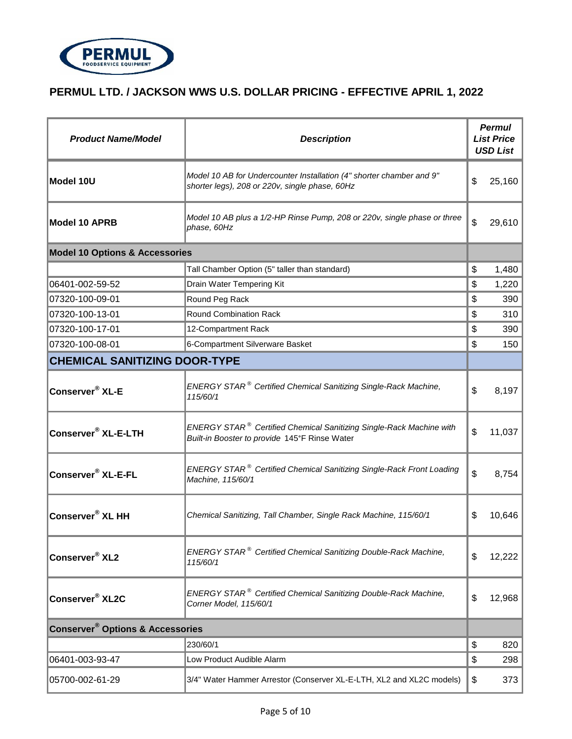

| <b>Product Name/Model</b>                              | <b>Description</b>                                                                                                               | <b>Permul</b><br><b>List Price</b><br><b>USD List</b> |
|--------------------------------------------------------|----------------------------------------------------------------------------------------------------------------------------------|-------------------------------------------------------|
| Model 10U                                              | Model 10 AB for Undercounter Installation (4" shorter chamber and 9"<br>shorter legs), 208 or 220v, single phase, 60Hz           | \$<br>25,160                                          |
| <b>Model 10 APRB</b>                                   | Model 10 AB plus a 1/2-HP Rinse Pump, 208 or 220v, single phase or three<br>phase, 60Hz                                          | \$<br>29,610                                          |
| <b>Model 10 Options &amp; Accessories</b>              |                                                                                                                                  |                                                       |
|                                                        | Tall Chamber Option (5" taller than standard)                                                                                    | \$<br>1,480                                           |
| 06401-002-59-52                                        | Drain Water Tempering Kit                                                                                                        | \$<br>1,220                                           |
| 07320-100-09-01                                        | Round Peg Rack                                                                                                                   | \$<br>390                                             |
| 07320-100-13-01                                        | Round Combination Rack                                                                                                           | \$<br>310                                             |
| 07320-100-17-01                                        | 12-Compartment Rack                                                                                                              | \$<br>390                                             |
| 07320-100-08-01                                        | 6-Compartment Silverware Basket                                                                                                  | \$<br>150                                             |
| <b>CHEMICAL SANITIZING DOOR-TYPE</b>                   |                                                                                                                                  |                                                       |
| Conserver <sup>®</sup> XL-E                            | ENERGY STAR <sup>®</sup> Certified Chemical Sanitizing Single-Rack Machine,<br>115/60/1                                          | \$<br>8,197                                           |
| Conserver <sup>®</sup> XL-E-LTH                        | ENERGY STAR <sup>®</sup> Certified Chemical Sanitizing Single-Rack Machine with<br>Built-in Booster to provide 145°F Rinse Water | \$<br>11,037                                          |
| Conserver <sup>®</sup> XL-E-FL                         | <b>ENERGY STAR<sup>®</sup> Certified Chemical Sanitizing Single-Rack Front Loading</b><br>Machine, 115/60/1                      | \$<br>8,754                                           |
| Conserver <sup>®</sup> XL HH                           | Chemical Sanitizing, Tall Chamber, Single Rack Machine, 115/60/1                                                                 | \$<br>10,646                                          |
| Conserver <sup>®</sup> XL2                             | ENERGY STAR <sup>®</sup> Certified Chemical Sanitizing Double-Rack Machine,<br>115/60/1                                          | \$<br>12,222                                          |
| Conserver <sup>®</sup> XL2C                            | ENERGY STAR <sup>®</sup> Certified Chemical Sanitizing Double-Rack Machine,<br>Corner Model, 115/60/1                            | \$<br>12,968                                          |
| <b>Conserver<sup>®</sup> Options &amp; Accessories</b> |                                                                                                                                  |                                                       |
|                                                        | 230/60/1                                                                                                                         | \$<br>820                                             |
| 06401-003-93-47                                        | Low Product Audible Alarm                                                                                                        | \$<br>298                                             |
| 05700-002-61-29                                        | 3/4" Water Hammer Arrestor (Conserver XL-E-LTH, XL2 and XL2C models)                                                             | \$<br>373                                             |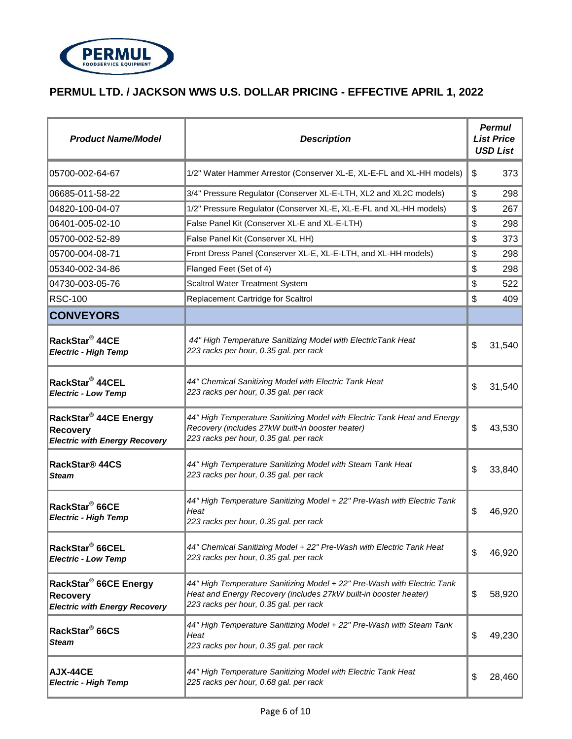

| <b>Product Name/Model</b>                                                                    | <b>Description</b>                                                                                                                                                                    | <b>Permul</b><br><b>List Price</b><br><b>USD List</b> |
|----------------------------------------------------------------------------------------------|---------------------------------------------------------------------------------------------------------------------------------------------------------------------------------------|-------------------------------------------------------|
| 05700-002-64-67                                                                              | 1/2" Water Hammer Arrestor (Conserver XL-E, XL-E-FL and XL-HH models)                                                                                                                 | \$<br>373                                             |
| 06685-011-58-22                                                                              | 3/4" Pressure Regulator (Conserver XL-E-LTH, XL2 and XL2C models)                                                                                                                     | \$<br>298                                             |
| 04820-100-04-07                                                                              | 1/2" Pressure Regulator (Conserver XL-E, XL-E-FL and XL-HH models)                                                                                                                    | \$<br>267                                             |
| 06401-005-02-10                                                                              | False Panel Kit (Conserver XL-E and XL-E-LTH)                                                                                                                                         | \$<br>298                                             |
| 05700-002-52-89                                                                              | False Panel Kit (Conserver XL HH)                                                                                                                                                     | \$<br>373                                             |
| 05700-004-08-71                                                                              | Front Dress Panel (Conserver XL-E, XL-E-LTH, and XL-HH models)                                                                                                                        | \$<br>298                                             |
| 05340-002-34-86                                                                              | Flanged Feet (Set of 4)                                                                                                                                                               | \$<br>298                                             |
| 04730-003-05-76                                                                              | Scaltrol Water Treatment System                                                                                                                                                       | \$<br>522                                             |
| <b>RSC-100</b>                                                                               | Replacement Cartridge for Scaltrol                                                                                                                                                    | \$<br>409                                             |
| <b>CONVEYORS</b>                                                                             |                                                                                                                                                                                       |                                                       |
| RackStar <sup>®</sup> 44CE<br><b>Electric - High Temp</b>                                    | 44" High Temperature Sanitizing Model with ElectricTank Heat<br>223 racks per hour, 0.35 gal. per rack                                                                                | \$<br>31,540                                          |
| RackStar <sup>®</sup> 44CEL<br><b>Electric - Low Temp</b>                                    | 44" Chemical Sanitizing Model with Electric Tank Heat<br>223 racks per hour, 0.35 gal. per rack                                                                                       | \$<br>31,540                                          |
| RackStar <sup>®</sup> 44CE Energy<br><b>Recovery</b><br><b>Electric with Energy Recovery</b> | 44" High Temperature Sanitizing Model with Electric Tank Heat and Energy<br>Recovery (includes 27kW built-in booster heater)<br>223 racks per hour, 0.35 gal. per rack                | \$<br>43,530                                          |
| RackStar <sup>®</sup> 44CS<br><b>Steam</b>                                                   | 44" High Temperature Sanitizing Model with Steam Tank Heat<br>223 racks per hour, 0.35 gal. per rack                                                                                  | \$<br>33,840                                          |
| RackStar <sup>®</sup> 66CE<br><b>Electric - High Temp</b>                                    | 44" High Temperature Sanitizing Model + 22" Pre-Wash with Electric Tank<br>Heat<br>223 racks per hour, 0.35 gal. per rack                                                             | \$<br>46,920                                          |
| RackStar <sup>®</sup> 66CEL<br><b>Electric - Low Temp</b>                                    | 44" Chemical Sanitizing Model + 22" Pre-Wash with Electric Tank Heat<br>223 racks per hour, 0.35 gal. per rack                                                                        | \$<br>46,920                                          |
| RackStar <sup>®</sup> 66CE Energy<br><b>Recovery</b><br><b>Electric with Energy Recovery</b> | 44" High Temperature Sanitizing Model + 22" Pre-Wash with Electric Tank<br>Heat and Energy Recovery (includes 27kW built-in booster heater)<br>223 racks per hour, 0.35 gal. per rack | \$<br>58,920                                          |
| RackStar <sup>®</sup> 66CS<br>Steam                                                          | 44" High Temperature Sanitizing Model + 22" Pre-Wash with Steam Tank<br>Heat<br>223 racks per hour, 0.35 gal. per rack                                                                | \$<br>49,230                                          |
| <b>AJX-44CE</b><br><b>Electric - High Temp</b>                                               | 44" High Temperature Sanitizing Model with Electric Tank Heat<br>225 racks per hour, 0.68 gal. per rack                                                                               | \$<br>28,460                                          |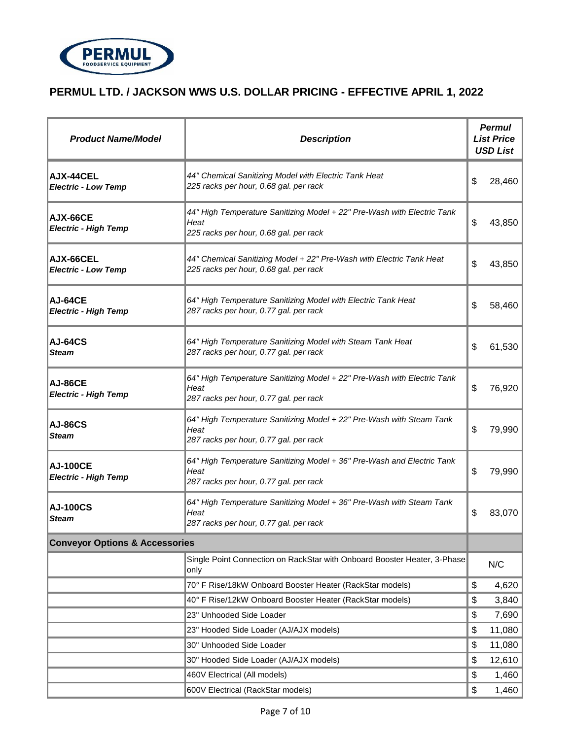

| <b>Product Name/Model</b>                      | <b>Description</b>                                                                                                        |    | <b>Permul</b><br><b>List Price</b><br><b>USD List</b> |
|------------------------------------------------|---------------------------------------------------------------------------------------------------------------------------|----|-------------------------------------------------------|
| <b>AJX-44CEL</b><br><b>Electric - Low Temp</b> | 44" Chemical Sanitizing Model with Electric Tank Heat<br>225 racks per hour, 0.68 gal. per rack                           | \$ | 28,460                                                |
| AJX-66CE<br><b>Electric - High Temp</b>        | 44" High Temperature Sanitizing Model + 22" Pre-Wash with Electric Tank<br>Heat<br>225 racks per hour, 0.68 gal. per rack | \$ | 43,850                                                |
| AJX-66CEL<br><b>Electric - Low Temp</b>        | 44" Chemical Sanitizing Model + 22" Pre-Wash with Electric Tank Heat<br>225 racks per hour, 0.68 gal. per rack            | \$ | 43,850                                                |
| <b>AJ-64CE</b><br><b>Electric - High Temp</b>  | 64" High Temperature Sanitizing Model with Electric Tank Heat<br>287 racks per hour, 0.77 gal. per rack                   | \$ | 58,460                                                |
| <b>AJ-64CS</b><br><b>Steam</b>                 | 64" High Temperature Sanitizing Model with Steam Tank Heat<br>287 racks per hour, 0.77 gal. per rack                      | \$ | 61,530                                                |
| <b>AJ-86CE</b><br><b>Electric - High Temp</b>  | 64" High Temperature Sanitizing Model + 22" Pre-Wash with Electric Tank<br>Heat<br>287 racks per hour, 0.77 gal. per rack | \$ | 76,920                                                |
| <b>AJ-86CS</b><br><b>Steam</b>                 | 64" High Temperature Sanitizing Model + 22" Pre-Wash with Steam Tank<br>Heat<br>287 racks per hour, 0.77 gal. per rack    | \$ | 79,990                                                |
| <b>AJ-100CE</b><br><b>Electric - High Temp</b> | 64" High Temperature Sanitizing Model + 36" Pre-Wash and Electric Tank<br>Heat<br>287 racks per hour, 0.77 gal. per rack  | \$ | 79,990                                                |
| <b>AJ-100CS</b><br>Steam                       | 64" High Temperature Sanitizing Model + 36" Pre-Wash with Steam Tank<br>Heat<br>287 racks per hour, 0.77 gal. per rack    | \$ | 83,070                                                |
| <b>Conveyor Options &amp; Accessories</b>      |                                                                                                                           |    |                                                       |
|                                                | Single Point Connection on RackStar with Onboard Booster Heater, 3-Phase<br>only                                          |    | N/C                                                   |
|                                                | 70° F Rise/18kW Onboard Booster Heater (RackStar models)                                                                  | \$ | 4,620                                                 |
|                                                | 40° F Rise/12kW Onboard Booster Heater (RackStar models)                                                                  | \$ | 3,840                                                 |
|                                                | 23" Unhooded Side Loader                                                                                                  | \$ | 7,690                                                 |
|                                                | 23" Hooded Side Loader (AJ/AJX models)                                                                                    | \$ | 11,080                                                |
|                                                | 30" Unhooded Side Loader                                                                                                  | \$ | 11,080                                                |
|                                                | 30" Hooded Side Loader (AJ/AJX models)                                                                                    | \$ | 12,610                                                |
|                                                | 460V Electrical (All models)                                                                                              | \$ | 1,460                                                 |
|                                                | 600V Electrical (RackStar models)                                                                                         | \$ | 1,460                                                 |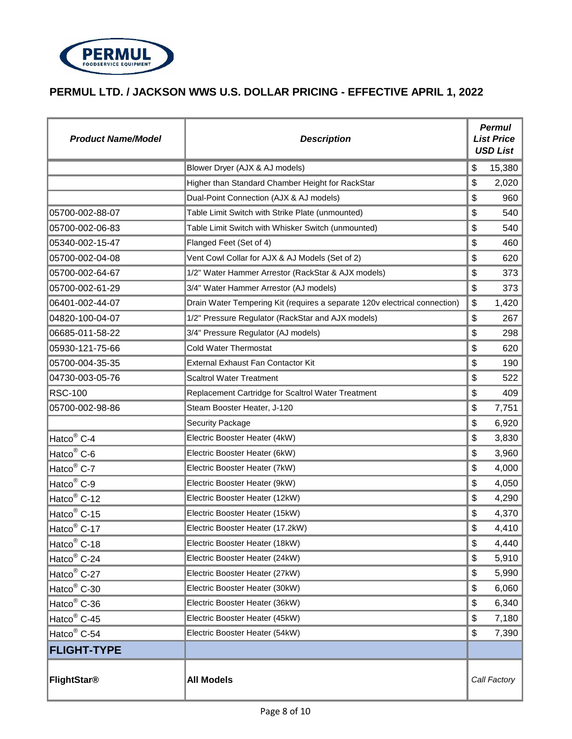

| <b>Product Name/Model</b> | <b>Description</b>                                                         | <b>Permul</b><br><b>List Price</b><br><b>USD List</b> |              |
|---------------------------|----------------------------------------------------------------------------|-------------------------------------------------------|--------------|
|                           | Blower Dryer (AJX & AJ models)                                             | \$                                                    | 15,380       |
|                           | Higher than Standard Chamber Height for RackStar                           | \$                                                    | 2,020        |
|                           | Dual-Point Connection (AJX & AJ models)                                    | \$                                                    | 960          |
| 05700-002-88-07           | Table Limit Switch with Strike Plate (unmounted)                           | \$                                                    | 540          |
| 05700-002-06-83           | Table Limit Switch with Whisker Switch (unmounted)                         | \$                                                    | 540          |
| 05340-002-15-47           | Flanged Feet (Set of 4)                                                    | \$                                                    | 460          |
| 05700-002-04-08           | Vent Cowl Collar for AJX & AJ Models (Set of 2)                            | \$                                                    | 620          |
| 05700-002-64-67           | 1/2" Water Hammer Arrestor (RackStar & AJX models)                         | \$                                                    | 373          |
| 05700-002-61-29           | 3/4" Water Hammer Arrestor (AJ models)                                     | \$                                                    | 373          |
| 06401-002-44-07           | Drain Water Tempering Kit (requires a separate 120v electrical connection) | \$                                                    | 1,420        |
| 04820-100-04-07           | 1/2" Pressure Regulator (RackStar and AJX models)                          | \$                                                    | 267          |
| 06685-011-58-22           | 3/4" Pressure Regulator (AJ models)                                        | \$                                                    | 298          |
| 05930-121-75-66           | Cold Water Thermostat                                                      | \$                                                    | 620          |
| 05700-004-35-35           | External Exhaust Fan Contactor Kit                                         | \$                                                    | 190          |
| 04730-003-05-76           | <b>Scaltrol Water Treatment</b>                                            | \$                                                    | 522          |
| <b>RSC-100</b>            | Replacement Cartridge for Scaltrol Water Treatment                         | \$                                                    | 409          |
| 05700-002-98-86           | Steam Booster Heater, J-120                                                | \$                                                    | 7,751        |
|                           | <b>Security Package</b>                                                    | \$                                                    | 6,920        |
| Hatco <sup>®</sup> C-4    | Electric Booster Heater (4kW)                                              | \$                                                    | 3,830        |
| Hatco <sup>®</sup> C-6    | Electric Booster Heater (6kW)                                              | \$                                                    | 3,960        |
| Hatco <sup>®</sup> C-7    | Electric Booster Heater (7kW)                                              | \$                                                    | 4,000        |
| Hatco <sup>®</sup> C-9    | Electric Booster Heater (9kW)                                              | \$                                                    | 4,050        |
| Hatco <sup>®</sup> C-12   | Electric Booster Heater (12kW)                                             | \$                                                    | 4,290        |
| Hatco <sup>®</sup> C-15   | Electric Booster Heater (15kW)                                             | \$                                                    | 4,370        |
| Hatco <sup>®</sup> C-17   | Electric Booster Heater (17.2kW)                                           | \$                                                    | 4,410        |
| Hatco <sup>®</sup> C-18   | Electric Booster Heater (18kW)                                             | \$                                                    | 4,440        |
| Hatco <sup>®</sup> C-24   | Electric Booster Heater (24kW)                                             | \$                                                    | 5,910        |
| Hatco <sup>®</sup> C-27   | Electric Booster Heater (27kW)                                             | \$                                                    | 5,990        |
| Hatco <sup>®</sup> C-30   | Electric Booster Heater (30kW)                                             | \$                                                    | 6,060        |
| Hatco <sup>®</sup> C-36   | Electric Booster Heater (36kW)                                             | \$                                                    | 6,340        |
| Hatco <sup>®</sup> C-45   | Electric Booster Heater (45kW)                                             | \$                                                    | 7,180        |
| Hatco <sup>®</sup> C-54   | Electric Booster Heater (54kW)                                             | \$                                                    | 7,390        |
| <b>FLIGHT-TYPE</b>        |                                                                            |                                                       |              |
| FlightStar®               | <b>All Models</b>                                                          |                                                       | Call Factory |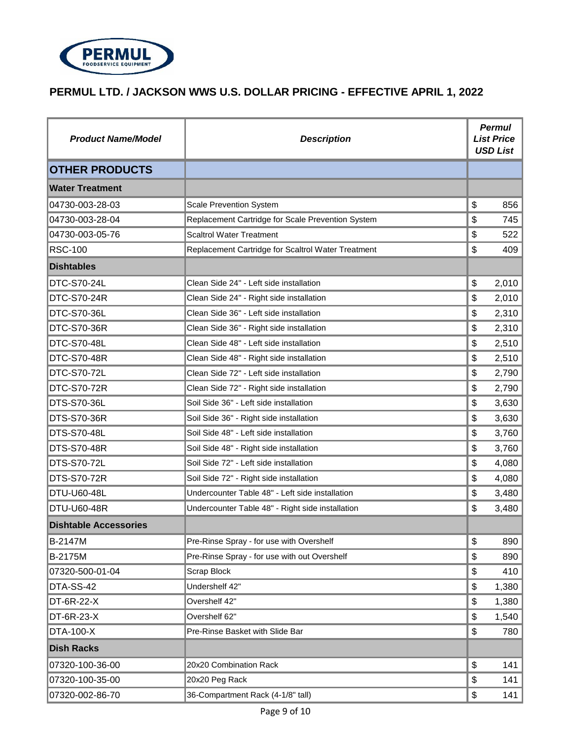

| <b>Product Name/Model</b>    | <b>Description</b>                                 | <b>Permul</b><br><b>List Price</b><br><b>USD List</b> |       |
|------------------------------|----------------------------------------------------|-------------------------------------------------------|-------|
| <b>OTHER PRODUCTS</b>        |                                                    |                                                       |       |
| <b>Water Treatment</b>       |                                                    |                                                       |       |
| 04730-003-28-03              | <b>Scale Prevention System</b>                     | \$                                                    | 856   |
| 04730-003-28-04              | Replacement Cartridge for Scale Prevention System  | \$                                                    | 745   |
| 04730-003-05-76              | <b>Scaltrol Water Treatment</b>                    | \$                                                    | 522   |
| <b>RSC-100</b>               | Replacement Cartridge for Scaltrol Water Treatment | \$                                                    | 409   |
| <b>Dishtables</b>            |                                                    |                                                       |       |
| DTC-S70-24L                  | Clean Side 24" - Left side installation            | \$                                                    | 2,010 |
| <b>DTC-S70-24R</b>           | Clean Side 24" - Right side installation           | \$                                                    | 2,010 |
| DTC-S70-36L                  | Clean Side 36" - Left side installation            | \$                                                    | 2,310 |
| <b>DTC-S70-36R</b>           | Clean Side 36" - Right side installation           | \$                                                    | 2,310 |
| DTC-S70-48L                  | Clean Side 48" - Left side installation            | \$                                                    | 2,510 |
| <b>DTC-S70-48R</b>           | Clean Side 48" - Right side installation           | \$                                                    | 2,510 |
| DTC-S70-72L                  | Clean Side 72" - Left side installation            | \$                                                    | 2,790 |
| <b>DTC-S70-72R</b>           | Clean Side 72" - Right side installation           | \$                                                    | 2,790 |
| DTS-S70-36L                  | Soil Side 36" - Left side installation             | \$                                                    | 3,630 |
| <b>DTS-S70-36R</b>           | Soil Side 36" - Right side installation            | \$                                                    | 3,630 |
| <b>DTS-S70-48L</b>           | Soil Side 48" - Left side installation             | \$                                                    | 3,760 |
| DTS-S70-48R                  | Soil Side 48" - Right side installation            | \$                                                    | 3,760 |
| <b>DTS-S70-72L</b>           | Soil Side 72" - Left side installation             | \$                                                    | 4,080 |
| <b>DTS-S70-72R</b>           | Soil Side 72" - Right side installation            | \$                                                    | 4,080 |
| <b>DTU-U60-48L</b>           | Undercounter Table 48" - Left side installation    | \$                                                    | 3,480 |
| <b>DTU-U60-48R</b>           | Undercounter Table 48" - Right side installation   | \$                                                    | 3,480 |
| <b>Dishtable Accessories</b> |                                                    |                                                       |       |
| B-2147M                      | Pre-Rinse Spray - for use with Overshelf           | \$                                                    | 890   |
| B-2175M                      | Pre-Rinse Spray - for use with out Overshelf       | \$                                                    | 890   |
| 07320-500-01-04              | <b>Scrap Block</b>                                 | \$                                                    | 410   |
| DTA-SS-42                    | Undershelf 42"                                     | \$                                                    | 1,380 |
| <b>DT-6R-22-X</b>            | Overshelf 42"                                      | \$                                                    | 1,380 |
| <b>DT-6R-23-X</b>            | Overshelf 62"                                      | \$                                                    | 1,540 |
| <b>DTA-100-X</b>             | Pre-Rinse Basket with Slide Bar                    | \$                                                    | 780   |
| <b>Dish Racks</b>            |                                                    |                                                       |       |
| 07320-100-36-00              | 20x20 Combination Rack                             | \$                                                    | 141   |
| 07320-100-35-00              | 20x20 Peg Rack                                     | \$                                                    | 141   |
| 07320-002-86-70              | 36-Compartment Rack (4-1/8" tall)                  | \$                                                    | 141   |